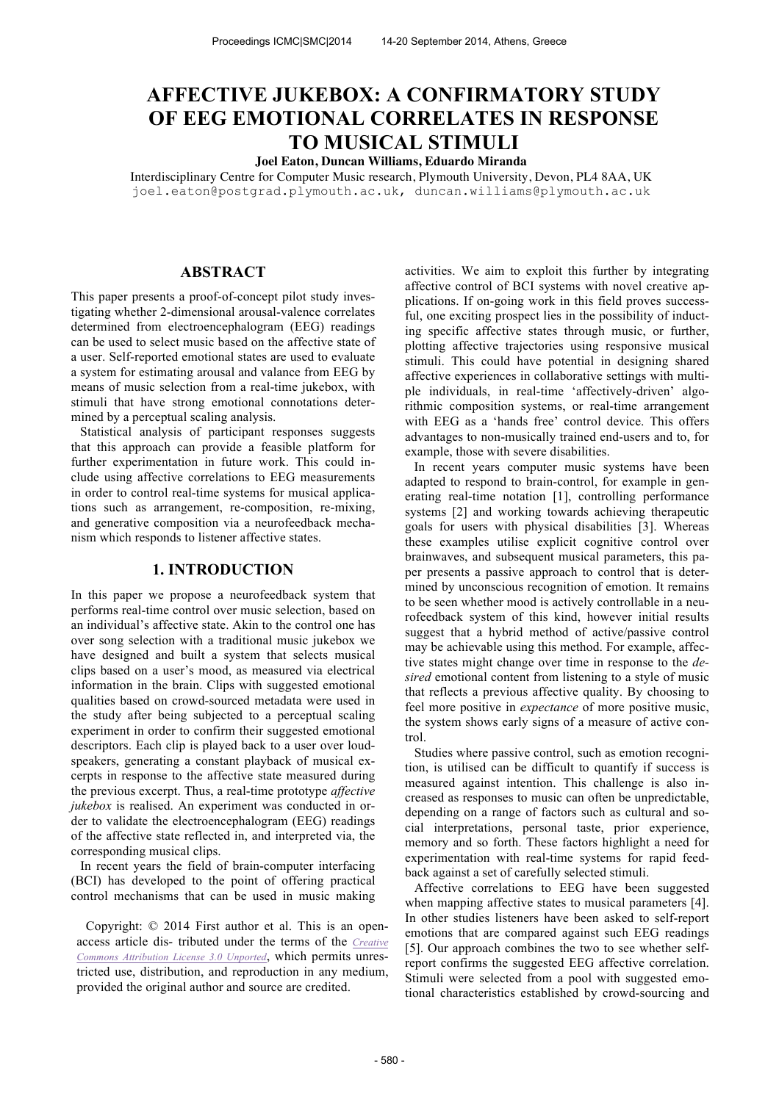# **AFFECTIVE JUKEBOX: A CONFIRMATORY STUDY OF EEG EMOTIONAL CORRELATES IN RESPONSE TO MUSICAL STIMULI**

# **Joel Eaton, Duncan Williams, Eduardo Miranda**

Interdisciplinary Centre for Computer Music research, Plymouth University, Devon, PL4 8AA, UK

joel.eaton@postgrad.plymouth.ac.uk, duncan.williams@plymouth.ac.uk

# **ABSTRACT**

This paper presents a proof-of-concept pilot study investigating whether 2-dimensional arousal-valence correlates determined from electroencephalogram (EEG) readings can be used to select music based on the affective state of a user. Self-reported emotional states are used to evaluate a system for estimating arousal and valance from EEG by means of music selection from a real-time jukebox, with stimuli that have strong emotional connotations determined by a perceptual scaling analysis.

Statistical analysis of participant responses suggests that this approach can provide a feasible platform for further experimentation in future work. This could include using affective correlations to EEG measurements in order to control real-time systems for musical applications such as arrangement, re-composition, re-mixing, and generative composition via a neurofeedback mechanism which responds to listener affective states.

# **1. INTRODUCTION**

In this paper we propose a neurofeedback system that performs real-time control over music selection, based on an individual's affective state. Akin to the control one has over song selection with a traditional music jukebox we have designed and built a system that selects musical clips based on a user's mood, as measured via electrical information in the brain. Clips with suggested emotional qualities based on crowd-sourced metadata were used in the study after being subjected to a perceptual scaling experiment in order to confirm their suggested emotional descriptors. Each clip is played back to a user over loudspeakers, generating a constant playback of musical excerpts in response to the affective state measured during the previous excerpt. Thus, a real-time prototype *affective jukebox* is realised. An experiment was conducted in order to validate the electroencephalogram (EEG) readings of the affective state reflected in, and interpreted via, the corresponding musical clips.

In recent years the field of brain-computer interfacing (BCI) has developed to the point of offering practical control mechanisms that can be used in music making

Copyright: © 2014 First author et al. This is an openaccess article dis- tributed under the terms of the *Creative Commons Attribution License 3.0 Unported*, which permits unrestricted use, distribution, and reproduction in any medium, provided the original author and source are credited.

activities. We aim to exploit this further by integrating affective control of BCI systems with novel creative applications. If on-going work in this field proves successful, one exciting prospect lies in the possibility of inducting specific affective states through music, or further, plotting affective trajectories using responsive musical stimuli. This could have potential in designing shared affective experiences in collaborative settings with multiple individuals, in real-time 'affectively-driven' algorithmic composition systems, or real-time arrangement with EEG as a 'hands free' control device. This offers advantages to non-musically trained end-users and to, for example, those with severe disabilities.

In recent years computer music systems have been adapted to respond to brain-control, for example in generating real-time notation [1], controlling performance systems [2] and working towards achieving therapeutic goals for users with physical disabilities [3]. Whereas these examples utilise explicit cognitive control over brainwaves, and subsequent musical parameters, this paper presents a passive approach to control that is determined by unconscious recognition of emotion. It remains to be seen whether mood is actively controllable in a neurofeedback system of this kind, however initial results suggest that a hybrid method of active/passive control may be achievable using this method. For example, affective states might change over time in response to the *desired* emotional content from listening to a style of music that reflects a previous affective quality. By choosing to feel more positive in *expectance* of more positive music, the system shows early signs of a measure of active control.

Studies where passive control, such as emotion recognition, is utilised can be difficult to quantify if success is measured against intention. This challenge is also increased as responses to music can often be unpredictable, depending on a range of factors such as cultural and social interpretations, personal taste, prior experience, memory and so forth. These factors highlight a need for experimentation with real-time systems for rapid feedback against a set of carefully selected stimuli.

Affective correlations to EEG have been suggested when mapping affective states to musical parameters [4]. In other studies listeners have been asked to self-report emotions that are compared against such EEG readings [5]. Our approach combines the two to see whether selfreport confirms the suggested EEG affective correlation. Stimuli were selected from a pool with suggested emotional characteristics established by crowd-sourcing and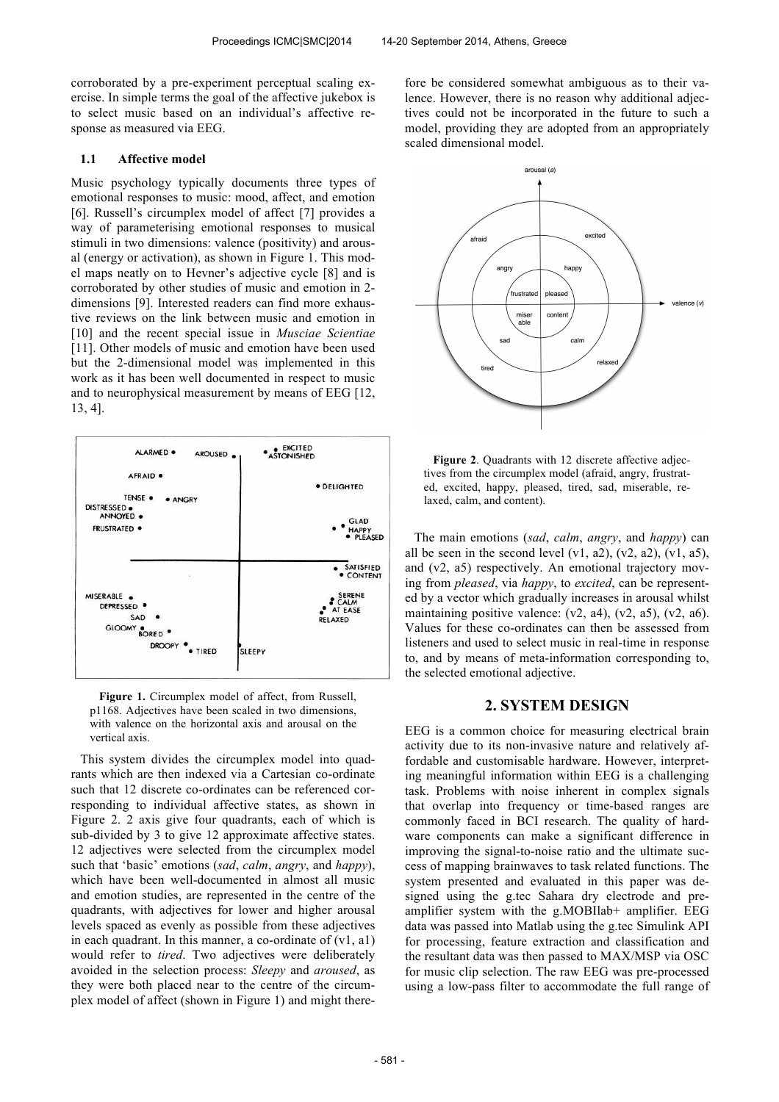corroborated by a pre-experiment perceptual scaling exercise. In simple terms the goal of the affective jukebox is to select music based on an individual's affective response as measured via EEG.

## **1.1 Affective model**

Music psychology typically documents three types of emotional responses to music: mood, affect, and emotion [6]. Russell's circumplex model of affect [7] provides a way of parameterising emotional responses to musical stimuli in two dimensions: valence (positivity) and arousal (energy or activation), as shown in Figure 1. This model maps neatly on to Hevner's adjective cycle [8] and is corroborated by other studies of music and emotion in 2 dimensions [9]. Interested readers can find more exhaustive reviews on the link between music and emotion in [10] and the recent special issue in *Musciae Scientiae* [11]. Other models of music and emotion have been used but the 2-dimensional model was implemented in this work as it has been well documented in respect to music and to neurophysical measurement by means of EEG [12, 13, 4].



**Figure 1.** Circumplex model of affect, from Russell, p1168. Adjectives have been scaled in two dimensions, with valence on the horizontal axis and arousal on the vertical axis.

This system divides the circumplex model into quadrants which are then indexed via a Cartesian co-ordinate such that 12 discrete co-ordinates can be referenced corresponding to individual affective states, as shown in Figure 2. 2 axis give four quadrants, each of which is sub-divided by 3 to give 12 approximate affective states. 12 adjectives were selected from the circumplex model such that 'basic' emotions (*sad*, *calm*, *angry*, and *happy*), which have been well-documented in almost all music and emotion studies, are represented in the centre of the quadrants, with adjectives for lower and higher arousal levels spaced as evenly as possible from these adjectives in each quadrant. In this manner, a co-ordinate of  $(v1, a1)$ would refer to *tired*. Two adjectives were deliberately avoided in the selection process: *Sleepy* and *aroused*, as they were both placed near to the centre of the circumplex model of affect (shown in Figure 1) and might therefore be considered somewhat ambiguous as to their valence. However, there is no reason why additional adjectives could not be incorporated in the future to such a model, providing they are adopted from an appropriately scaled dimensional model.



**Figure 2**. Quadrants with 12 discrete affective adjectives from the circumplex model (afraid, angry, frustrated, excited, happy, pleased, tired, sad, miserable, relaxed, calm, and content).

The main emotions (*sad*, *calm*, *angry*, and *happy*) can all be seen in the second level  $(v1, a2)$ ,  $(v2, a2)$ ,  $(v1, a5)$ , and (v2, a5) respectively. An emotional trajectory moving from *pleased*, via *happy*, to *excited*, can be represented by a vector which gradually increases in arousal whilst maintaining positive valence:  $(v2, a4)$ ,  $(v2, a5)$ ,  $(v2, a6)$ . Values for these co-ordinates can then be assessed from listeners and used to select music in real-time in response to, and by means of meta-information corresponding to, the selected emotional adjective.

## **2. SYSTEM DESIGN**

EEG is a common choice for measuring electrical brain activity due to its non-invasive nature and relatively affordable and customisable hardware. However, interpreting meaningful information within EEG is a challenging task. Problems with noise inherent in complex signals that overlap into frequency or time-based ranges are commonly faced in BCI research. The quality of hardware components can make a significant difference in improving the signal-to-noise ratio and the ultimate success of mapping brainwaves to task related functions. The system presented and evaluated in this paper was designed using the g.tec Sahara dry electrode and preamplifier system with the g.MOBIlab+ amplifier. EEG data was passed into Matlab using the g.tec Simulink API for processing, feature extraction and classification and the resultant data was then passed to MAX/MSP via OSC for music clip selection. The raw EEG was pre-processed using a low-pass filter to accommodate the full range of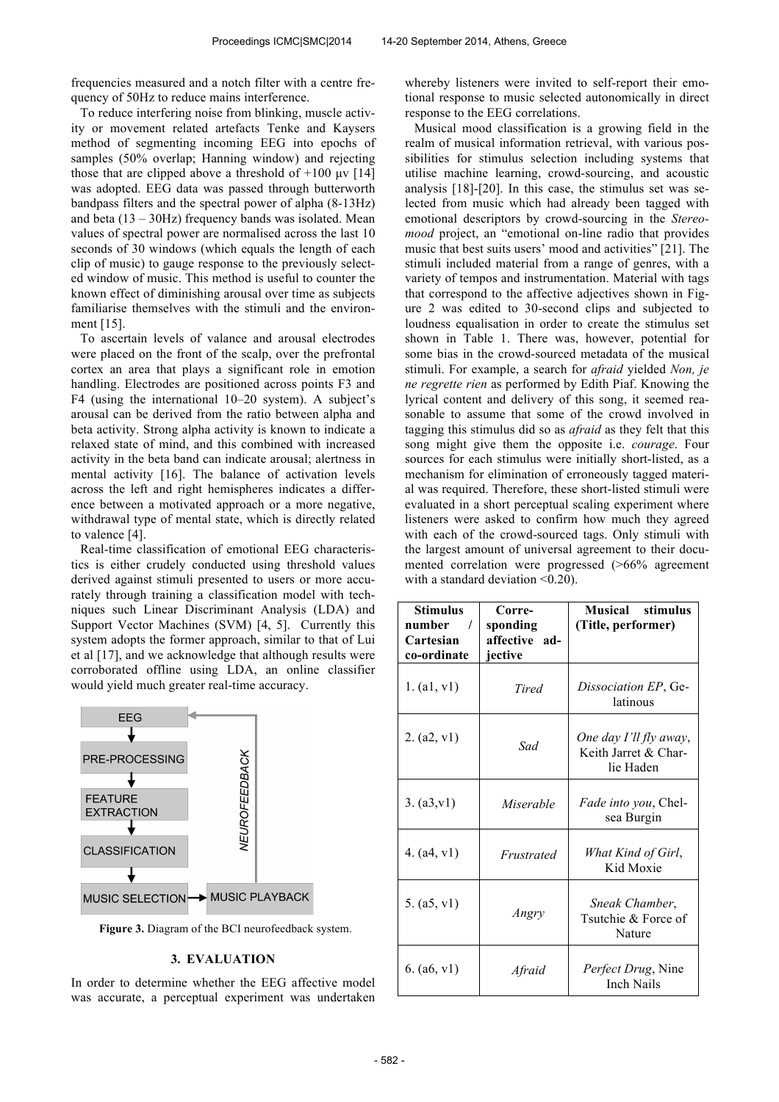frequencies measured and a notch filter with a centre frequency of 50Hz to reduce mains interference.

To reduce interfering noise from blinking, muscle activity or movement related artefacts Tenke and Kaysers method of segmenting incoming EEG into epochs of samples (50% overlap; Hanning window) and rejecting those that are clipped above a threshold of  $+100 \text{ } \mu \text{V}$  [14] was adopted. EEG data was passed through butterworth bandpass filters and the spectral power of alpha (8-13Hz) and beta  $(13 - 30Hz)$  frequency bands was isolated. Mean values of spectral power are normalised across the last 10 seconds of 30 windows (which equals the length of each clip of music) to gauge response to the previously selected window of music. This method is useful to counter the known effect of diminishing arousal over time as subjects familiarise themselves with the stimuli and the environment [15].

To ascertain levels of valance and arousal electrodes were placed on the front of the scalp, over the prefrontal cortex an area that plays a significant role in emotion handling. Electrodes are positioned across points F3 and F4 (using the international 10–20 system). A subject's arousal can be derived from the ratio between alpha and beta activity. Strong alpha activity is known to indicate a relaxed state of mind, and this combined with increased activity in the beta band can indicate arousal; alertness in mental activity [16]. The balance of activation levels across the left and right hemispheres indicates a difference between a motivated approach or a more negative, withdrawal type of mental state, which is directly related to valence [4].

Real-time classification of emotional EEG characteristics is either crudely conducted using threshold values derived against stimuli presented to users or more accurately through training a classification model with techniques such Linear Discriminant Analysis (LDA) and Support Vector Machines (SVM) [4, 5]. Currently this system adopts the former approach, similar to that of Lui et al [17], and we acknowledge that although results were corroborated offline using LDA, an online classifier would yield much greater real-time accuracy.



**Figure 3.** Diagram of the BCI neurofeedback system.

## **3. EVALUATION**

In order to determine whether the EEG affective model was accurate, a perceptual experiment was undertaken whereby listeners were invited to self-report their emotional response to music selected autonomically in direct response to the EEG correlations.

Musical mood classification is a growing field in the realm of musical information retrieval, with various possibilities for stimulus selection including systems that utilise machine learning, crowd-sourcing, and acoustic analysis [18]-[20]. In this case, the stimulus set was selected from music which had already been tagged with emotional descriptors by crowd-sourcing in the *Stereomood* project, an "emotional on-line radio that provides music that best suits users' mood and activities" [21]. The stimuli included material from a range of genres, with a variety of tempos and instrumentation. Material with tags that correspond to the affective adjectives shown in Figure 2 was edited to 30-second clips and subjected to loudness equalisation in order to create the stimulus set shown in Table 1. There was, however, potential for some bias in the crowd-sourced metadata of the musical stimuli. For example, a search for *afraid* yielded *Non, je ne regrette rien* as performed by Edith Piaf. Knowing the lyrical content and delivery of this song, it seemed reasonable to assume that some of the crowd involved in tagging this stimulus did so as *afraid* as they felt that this song might give them the opposite i.e. *courage*. Four sources for each stimulus were initially short-listed, as a mechanism for elimination of erroneously tagged material was required. Therefore, these short-listed stimuli were evaluated in a short perceptual scaling experiment where listeners were asked to confirm how much they agreed with each of the crowd-sourced tags. Only stimuli with the largest amount of universal agreement to their documented correlation were progressed (>66% agreement with a standard deviation <0.20).

| Stimulus<br>number<br>$\prime$<br>Cartesian<br>co-ordinate | Corre-<br>sponding<br>affective ad-<br>jective | Musical<br>stimulus<br>(Title, performer)                   |
|------------------------------------------------------------|------------------------------------------------|-------------------------------------------------------------|
| 1. (a1, v1)                                                | Tired                                          | Dissociation EP, Ge-<br>latinous                            |
| 2. (a2, v1)                                                | Sad                                            | One day I'll fly away,<br>Keith Jarret & Char-<br>lie Haden |
| 3. (a3,v1)                                                 | Miserable                                      | Fade into you, Chel-<br>sea Burgin                          |
| 4. $(a4, v1)$                                              | Frustrated                                     | What Kind of Girl,<br>Kid Moxie                             |
| 5. (a5, v1)                                                | Angry                                          | Sneak Chamber,<br>Tsutchie & Force of<br>Nature             |
| 6. $(a6, v1)$                                              | Afraid                                         | Perfect Drug, Nine<br><b>Inch Nails</b>                     |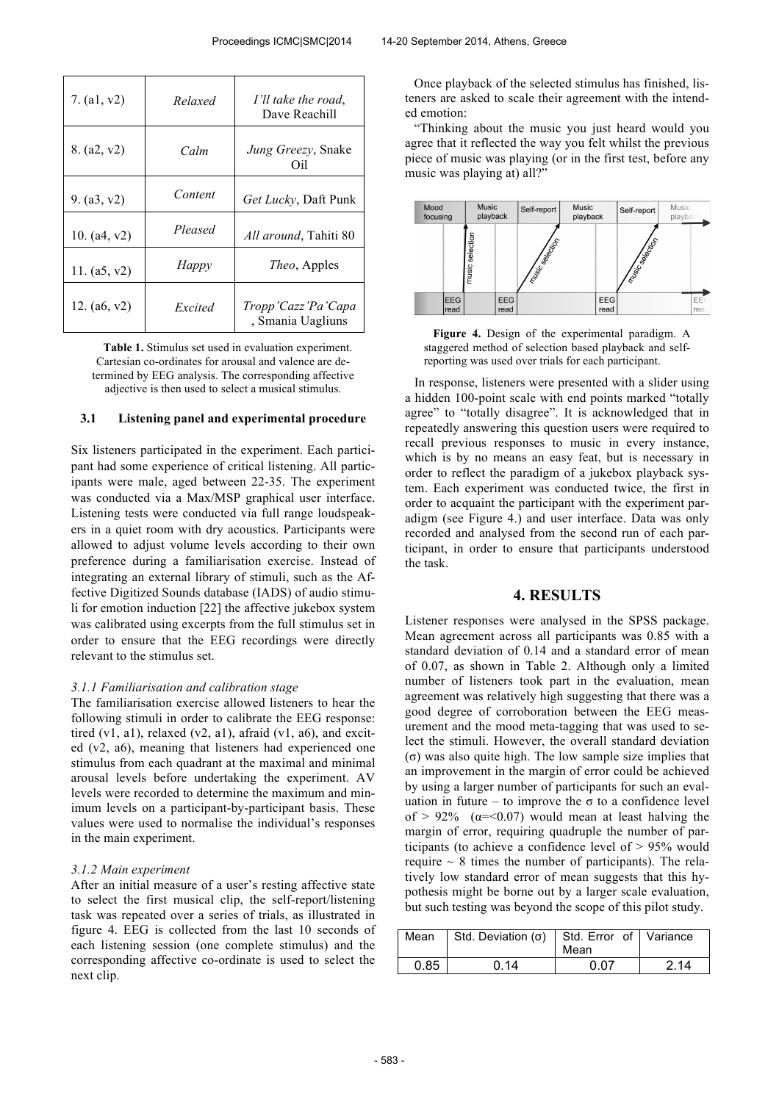| 7. $(a1, v2)$  | Relaxed | I'll take the road,<br>Dave Reachill    |
|----------------|---------|-----------------------------------------|
| 8. (a2, v2)    | Calm    | Jung Greezy, Snake<br>Oil               |
| 9. $(a3, v2)$  | Content | Get Lucky, Daft Punk                    |
| 10. $(a4, v2)$ | Pleased | <i>All around</i> , Tahiti 80           |
| 11. $(a5, v2)$ | Happy   | <i>Theo</i> , Apples                    |
| 12. $(a6, v2)$ | Excited | Tropp'Cazz'Pa'Capa<br>, Smania Uagliuns |

**Table 1.** Stimulus set used in evaluation experiment. Cartesian co-ordinates for arousal and valence are determined by EEG analysis. The corresponding affective adjective is then used to select a musical stimulus.

## **3.1 Listening panel and experimental procedure**

Six listeners participated in the experiment. Each participant had some experience of critical listening. All participants were male, aged between 22-35. The experiment was conducted via a Max/MSP graphical user interface. Listening tests were conducted via full range loudspeakers in a quiet room with dry acoustics. Participants were allowed to adjust volume levels according to their own preference during a familiarisation exercise. Instead of integrating an external library of stimuli, such as the Affective Digitized Sounds database (IADS) of audio stimuli for emotion induction [22] the affective jukebox system was calibrated using excerpts from the full stimulus set in order to ensure that the EEG recordings were directly relevant to the stimulus set.

## *3.1.1 Familiarisation and calibration stage*

The familiarisation exercise allowed listeners to hear the following stimuli in order to calibrate the EEG response: tired  $(v1, a1)$ , relaxed  $(v2, a1)$ , afraid  $(v1, a6)$ , and excited (v2, a6), meaning that listeners had experienced one stimulus from each quadrant at the maximal and minimal arousal levels before undertaking the experiment. AV levels were recorded to determine the maximum and minimum levels on a participant-by-participant basis. These values were used to normalise the individual's responses in the main experiment.

#### *3.1.2 Main experiment*

After an initial measure of a user's resting affective state to select the first musical clip, the self-report/listening task was repeated over a series of trials, as illustrated in figure 4. EEG is collected from the last 10 seconds of each listening session (one complete stimulus) and the corresponding affective co-ordinate is used to select the next clip.

Once playback of the selected stimulus has finished, listeners are asked to scale their agreement with the intended emotion:

"Thinking about the music you just heard would you agree that it reflected the way you felt whilst the previous piece of music was playing (or in the first test, before any music was playing at) all?"



**Figure 4.** Design of the experimental paradigm. A staggered method of selection based playback and selfreporting was used over trials for each participant.

In response, listeners were presented with a slider using a hidden 100-point scale with end points marked "totally agree" to "totally disagree". It is acknowledged that in repeatedly answering this question users were required to recall previous responses to music in every instance, which is by no means an easy feat, but is necessary in order to reflect the paradigm of a jukebox playback system. Each experiment was conducted twice, the first in order to acquaint the participant with the experiment paradigm (see Figure 4.) and user interface. Data was only recorded and analysed from the second run of each participant, in order to ensure that participants understood the task.

# **4. RESULTS**

Listener responses were analysed in the SPSS package. Mean agreement across all participants was 0.85 with a standard deviation of 0.14 and a standard error of mean of 0.07, as shown in Table 2. Although only a limited number of listeners took part in the evaluation, mean agreement was relatively high suggesting that there was a good degree of corroboration between the EEG measurement and the mood meta-tagging that was used to select the stimuli. However, the overall standard deviation (σ) was also quite high. The low sample size implies that an improvement in the margin of error could be achieved by using a larger number of participants for such an evaluation in future – to improve the  $\sigma$  to a confidence level of > 92% ( $\alpha$ =<0.07) would mean at least halving the margin of error, requiring quadruple the number of participants (to achieve a confidence level of > 95% would require  $\sim 8$  times the number of participants). The relatively low standard error of mean suggests that this hypothesis might be borne out by a larger scale evaluation, but such testing was beyond the scope of this pilot study.

| Mean | Std. Deviation $(\sigma)$   Std. Error of   Variance | Mean |      |
|------|------------------------------------------------------|------|------|
| 0.85 | 0.14                                                 | በ በ7 | 2 14 |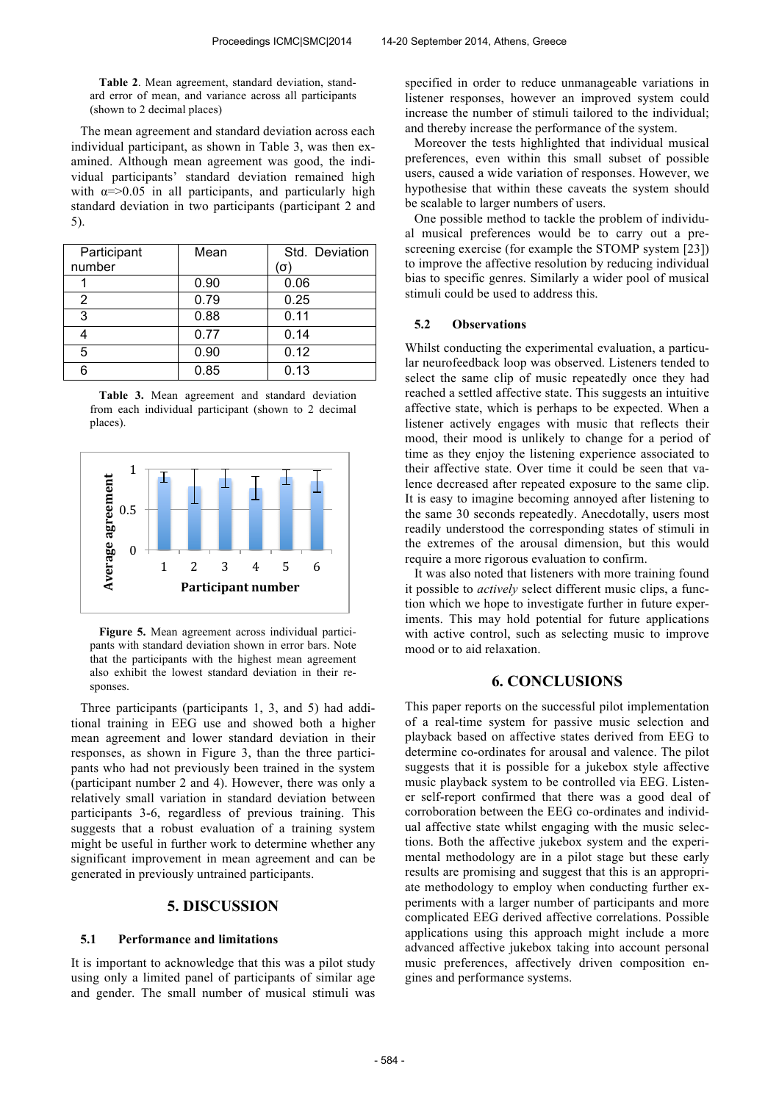**Table 2**. Mean agreement, standard deviation, standard error of mean, and variance across all participants (shown to 2 decimal places)

The mean agreement and standard deviation across each individual participant, as shown in Table 3, was then examined. Although mean agreement was good, the individual participants' standard deviation remained high with  $\alpha = > 0.05$  in all participants, and particularly high standard deviation in two participants (participant 2 and 5).

| Participant | Mean | Std. Deviation |
|-------------|------|----------------|
| number      |      | (σ             |
|             | 0.90 | 0.06           |
| 2           | 0.79 | 0.25           |
| 3           | 0.88 | 0.11           |
|             | 0.77 | 0.14           |
| 5           | 0.90 | 0.12           |
| հ           | 0.85 | 0.13           |

**Table 3.** Mean agreement and standard deviation from each individual participant (shown to 2 decimal places).



**Figure 5.** Mean agreement across individual participants with standard deviation shown in error bars. Note that the participants with the highest mean agreement also exhibit the lowest standard deviation in their responses.

Three participants (participants 1, 3, and 5) had additional training in EEG use and showed both a higher mean agreement and lower standard deviation in their responses, as shown in Figure 3, than the three participants who had not previously been trained in the system (participant number 2 and 4). However, there was only a relatively small variation in standard deviation between participants 3-6, regardless of previous training. This suggests that a robust evaluation of a training system might be useful in further work to determine whether any significant improvement in mean agreement and can be generated in previously untrained participants.

## **5. DISCUSSION**

## **5.1 Performance and limitations**

It is important to acknowledge that this was a pilot study using only a limited panel of participants of similar age and gender. The small number of musical stimuli was specified in order to reduce unmanageable variations in listener responses, however an improved system could increase the number of stimuli tailored to the individual; and thereby increase the performance of the system.

Moreover the tests highlighted that individual musical preferences, even within this small subset of possible users, caused a wide variation of responses. However, we hypothesise that within these caveats the system should be scalable to larger numbers of users.

One possible method to tackle the problem of individual musical preferences would be to carry out a prescreening exercise (for example the STOMP system [23]) to improve the affective resolution by reducing individual bias to specific genres. Similarly a wider pool of musical stimuli could be used to address this.

## **5.2 Observations**

Whilst conducting the experimental evaluation, a particular neurofeedback loop was observed. Listeners tended to select the same clip of music repeatedly once they had reached a settled affective state. This suggests an intuitive affective state, which is perhaps to be expected. When a listener actively engages with music that reflects their mood, their mood is unlikely to change for a period of time as they enjoy the listening experience associated to their affective state. Over time it could be seen that valence decreased after repeated exposure to the same clip. It is easy to imagine becoming annoyed after listening to the same 30 seconds repeatedly. Anecdotally, users most readily understood the corresponding states of stimuli in the extremes of the arousal dimension, but this would require a more rigorous evaluation to confirm.

It was also noted that listeners with more training found it possible to *actively* select different music clips, a function which we hope to investigate further in future experiments. This may hold potential for future applications with active control, such as selecting music to improve mood or to aid relaxation.

# **6. CONCLUSIONS**

This paper reports on the successful pilot implementation of a real-time system for passive music selection and playback based on affective states derived from EEG to determine co-ordinates for arousal and valence. The pilot suggests that it is possible for a jukebox style affective music playback system to be controlled via EEG. Listener self-report confirmed that there was a good deal of corroboration between the EEG co-ordinates and individual affective state whilst engaging with the music selections. Both the affective jukebox system and the experimental methodology are in a pilot stage but these early results are promising and suggest that this is an appropriate methodology to employ when conducting further experiments with a larger number of participants and more complicated EEG derived affective correlations. Possible applications using this approach might include a more advanced affective jukebox taking into account personal music preferences, affectively driven composition engines and performance systems.